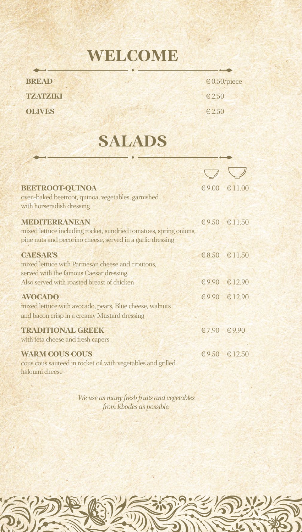#### **WELCOME**

| <b>BREAD</b>  | $\epsilon$ 0.50 |
|---------------|-----------------|
| TZATZIKI      | $\epsilon$ 2.50 |
| <b>OLIVES</b> | $\epsilon$ 2.50 |

**BREAD** € 0.50/piece

#### **SALADS**

| <b>BEETROOT-QUINOA</b><br>oven-baked beetroot, quinoa, vegetables, garnished<br>with horseradish dressing                                               |             | € 9.00 € 11.00       |
|---------------------------------------------------------------------------------------------------------------------------------------------------------|-------------|----------------------|
| <b>MEDITERRANEAN</b><br>mixed lettuce including rocket, sundried tomatoes, spring onions,<br>pine nuts and pecorino cheese, served in a garlic dressing |             | € 9.50 € 11.50       |
| <b>CAESAR'S</b><br>mixed lettuce with Parmesan cheese and croutons,<br>served with the famous Caesar dressing.                                          |             | $68.50$ $611.50$     |
| Also served with roasted breast of chicken                                                                                                              |             | €9.90 €12.90         |
| <b>AVOCADO</b><br>mixed lettuce with avocado, pears, Blue cheese, walnuts<br>and bacon crisp in a creamy Mustard dressing                               |             | $\in 9.90 \in 12.90$ |
| <b>TRADITIONAL GREEK</b><br>with feta cheese and fresh capers                                                                                           | €7.90 €9.90 |                      |
| <b>WARM COUS COUS</b><br>cous cous sauteed in rocket oil with vegetables and grilled<br>haloumi cheese                                                  |             | € 9.50 € 12.50       |

*We use as many fresh fruits and vegetables from Rhodes as possible.*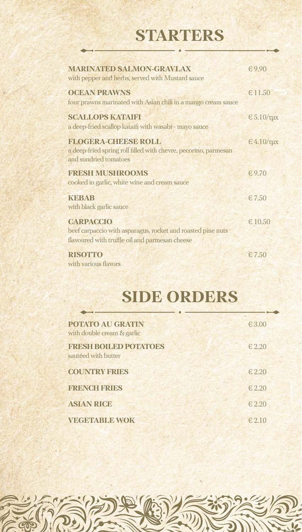## **STARTERS**

| <b>MARINATED SALMON-GRAVLAX</b><br>with pepper and herbs, served with Mustard sauce                                               | 69.90                      |
|-----------------------------------------------------------------------------------------------------------------------------------|----------------------------|
| <b>OCEAN PRAWNS</b><br>four prawns marinated with Asian chili in a mango cream sauce                                              | £11.50                     |
| <b>SCALLOPS KATAIFI</b><br>a deep-fried scallop kataifi with wasabi - mayo sauce                                                  | $\epsilon$ 5.10/ $\tau$ µx |
| <b>FLOGERA-CHEESE ROLL</b><br>a deep-fried spring roll filled with chevre, pecorino, parmesan<br>and sundried tomatoes            | $\epsilon$ 4.10/ $\tau$ µx |
| <b>FRESH MUSHROOMS</b><br>cooked in garlic, white wine and cream sauce                                                            | €9.70                      |
| <b>KEBAB</b><br>with black garlic sauce                                                                                           | $-5.750$                   |
| <b>CARPACCIO</b><br>beef carpaccio with asparagus, rocket and roasted pine nuts<br>flavoured with truffle oil and parmesan cheese | €10.50                     |
| <b>RISOTTO</b><br>with various flavors                                                                                            | $-5.750$                   |

## **SIDE ORDERS**

| <b>POTATO AU GRATIN</b><br>with double cream & garlic | €3.00     |
|-------------------------------------------------------|-----------|
| <b>FRESH BOILED POTATOES</b><br>sautéed with butter   | € 2.20    |
| <b>COUNTRY FRIES</b>                                  | € 2.20    |
| <b>FRENCH FRIES</b>                                   | £2.20     |
| <b>ASIAN RICE</b>                                     | $-6.2.20$ |
| <b>VEGETABLE WOK</b>                                  | $-6.2.10$ |